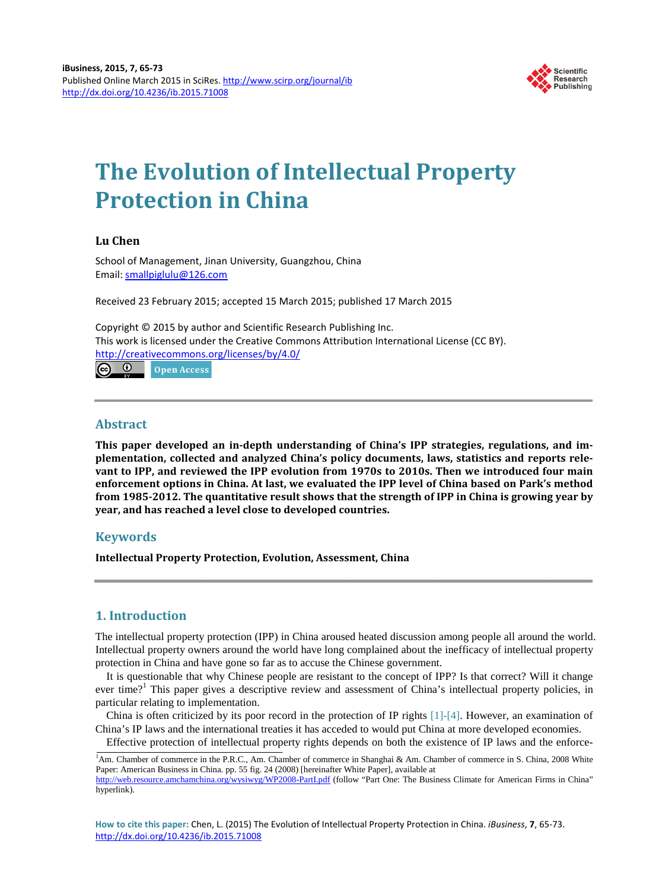

# **The Evolution of Intellectual Property Protection in China**

# **Lu Chen**

School of Management, Jinan University, Guangzhou, China Email: [smallpiglulu@126.com](mailto:smallpiglulu@126.com)

Received 23 February 2015; accepted 15 March 2015; published 17 March 2015

Copyright © 2015 by author and Scientific Research Publishing Inc. This work is licensed under the Creative Commons Attribution International License (CC BY). <http://creativecommons.org/licenses/by/4.0/> <u>ര 0</u> Open Access

# **Abstract**

**This paper developed an in-depth understanding of China's IPP strategies, regulations, and implementation, collected and analyzed China's policy documents, laws, statistics and reports relevant to IPP, and reviewed the IPP evolution from 1970s to 2010s. Then we introduced four main enforcement options in China. At last, we evaluated the IPP level of China based on Park's method from 1985-2012. The quantitative result shows that the strength of IPP in China is growing year by year, and has reached a level close to developed countries.**

# **Keywords**

**Intellectual Property Protection, Evolution, Assessment, China**

# **1. Introduction**

The intellectual property protection (IPP) in China aroused heated discussion among people all around the world. Intellectual property owners around the world have long complained about the inefficacy of intellectual property protection in China and have gone so far as to accuse the Chinese government.

It is questionable that why Chinese people are resistant to the concept of IPP? Is that correct? Will it change ever time?<sup>1</sup> This paper gives a descriptive review and assessment of China's intellectual property policies, in particular relating to implementation.

China is often criticized by its poor record in the protection of IP rights  $[1]-[4]$  $[1]-[4]$ . However, an examination of China's IP laws and the international treaties it has acceded to would put China at more developed economies.

Effective protection of intellectual property rights depends on both the existence of IP laws and the enforce-

<sup>&</sup>lt;sup>1</sup>Am. Chamber of commerce in the P.R.C., Am. Chamber of commerce in Shanghai & Am. Chamber of commerce in S. China, 2008 White Paper: American Business in China. pp. 55 fig. 24 (2008) [hereinafter White Paper], available at http://web.resource.amchamchina.org/wysiwyg/WP2008-PartLpdf (follow "Part One: The Business Climate for American Firms in China"

hyperlink).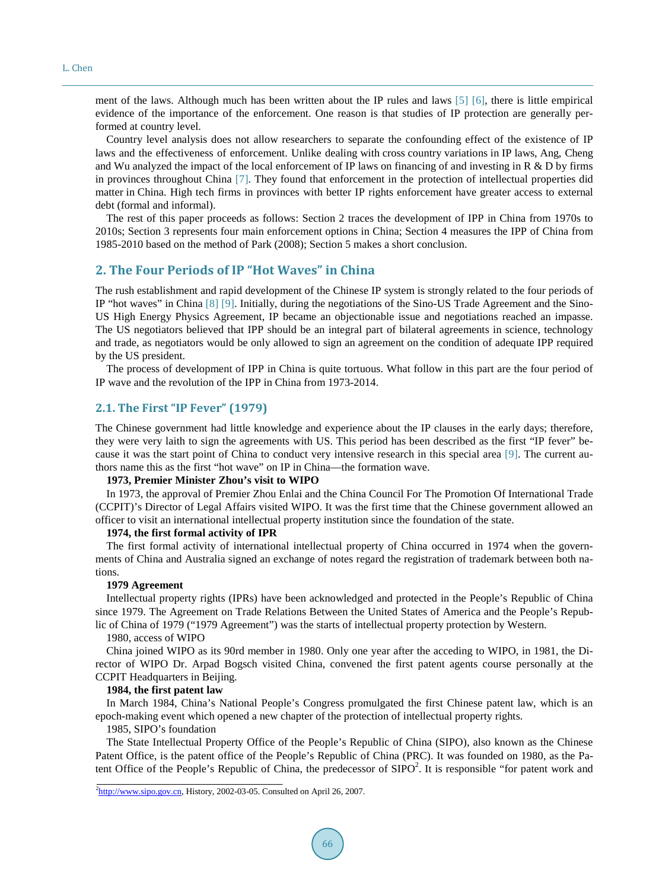ment of the laws. Although much has been written about the IP rules and laws [\[5\]](#page-7-2) [\[6\],](#page-7-3) there is little empirical evidence of the importance of the enforcement. One reason is that studies of IP protection are generally performed at country level.

Country level analysis does not allow researchers to separate the confounding effect of the existence of IP laws and the effectiveness of enforcement. Unlike dealing with cross country variations in IP laws, Ang, Cheng and Wu analyzed the impact of the local enforcement of IP laws on financing of and investing in R & D by firms in provinces throughout China [\[7\].](#page-7-4) They found that enforcement in the protection of intellectual properties did matter in China. High tech firms in provinces with better IP rights enforcement have greater access to external debt (formal and informal).

The rest of this paper proceeds as follows: Section 2 traces the development of IPP in China from 1970s to 2010s; Section 3 represents four main enforcement options in China; Section 4 measures the IPP of China from 1985-2010 based on the method of Park (2008); Section 5 makes a short conclusion.

# **2. The Four Periods of IP "Hot Waves" in China**

The rush establishment and rapid development of the Chinese IP system is strongly related to the four periods of IP "hot waves" in China [\[8\]](#page-8-0) [\[9\].](#page-8-1) Initially, during the negotiations of the Sino-US Trade Agreement and the Sino-US High Energy Physics Agreement, IP became an objectionable issue and negotiations reached an impasse. The US negotiators believed that IPP should be an integral part of bilateral agreements in science, technology and trade, as negotiators would be only allowed to sign an agreement on the condition of adequate IPP required by the US president.

The process of development of IPP in China is quite tortuous. What follow in this part are the four period of IP wave and the revolution of the IPP in China from 1973-2014.

## **2.1. The First "IP Fever" (1979)**

The Chinese government had little knowledge and experience about the IP clauses in the early days; therefore, they were very laith to sign the agreements with US. This period has been described as the first "IP fever" because it was the start point of China to conduct very intensive research in this special area [\[9\].](#page-8-1) The current authors name this as the first "hot wave" on IP in China—the formation wave.

## **1973, Premier Minister Zhou's visit to WIPO**

In 1973, the approval of Premier Zhou Enlai and the China Council For The Promotion Of International Trade (CCPIT)'s Director of Legal Affairs visited WIPO. It was the first time that the Chinese government allowed an officer to visit an international intellectual property institution since the foundation of the state.

## **1974, the first formal activity of IPR**

The first formal activity of international intellectual property of China occurred in 1974 when the governments of China and Australia signed an exchange of notes regard the registration of trademark between both nations.

#### **1979 Agreement**

Intellectual property rights (IPRs) have been acknowledged and protected in the People's Republic of China since 1979. The Agreement on Trade Relations Between the United States of America and the People's Republic of China of 1979 ("1979 Agreement") was the starts of intellectual property protection by Western.

#### 1980, access of WIPO

China joined WIPO as its 90rd member in 1980. Only one year after the acceding to WIPO, in 1981, the Director of WIPO Dr. Arpad Bogsch visited China, convened the first patent agents course personally at the CCPIT Headquarters in Beijing.

#### **1984, the first patent law**

In March 1984, China's National People's Congress promulgated the first Chinese patent law, which is an epoch-making event which opened a new chapter of the protection of intellectual property rights.

## 1985, SIPO's foundation

The State Intellectual Property Office of the People's Republic of China (SIPO), also known as the Chinese Patent Office, is the patent office of the People's Republic of China (PRC). It was founded on 1980, as the Patent Office of the People's Republic of China, the predecessor of  $SIDO^2$ . It is responsible "for patent work and

<sup>&</sup>lt;sup>2</sup>[http://www.sipo.gov.cn,](http://www.sipo.gov.cn/) History, 2002-03-05. Consulted on April 26, 2007.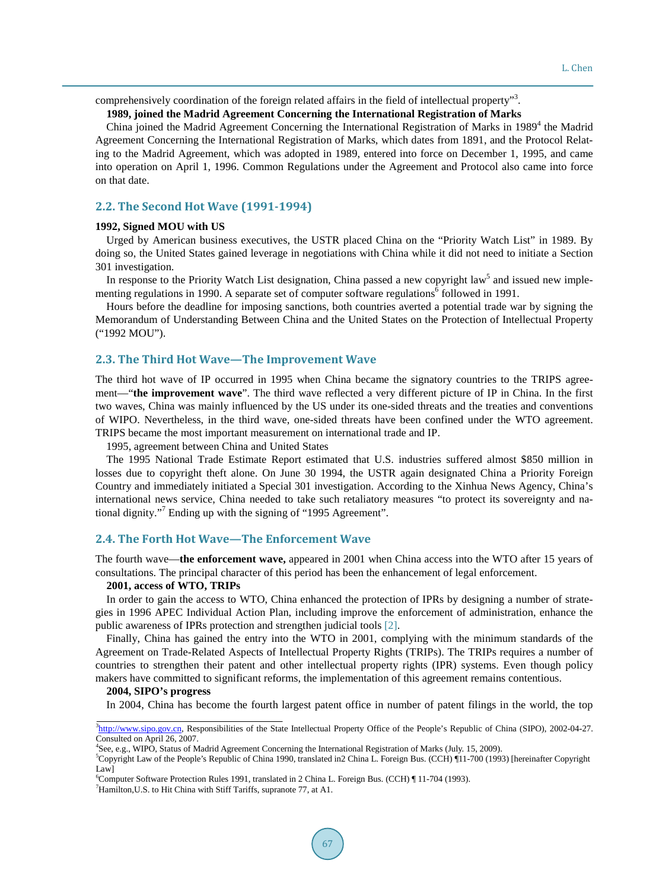comprehensively coordination of the foreign related affairs in the field of intellectual property"<sup>3</sup>.

## **1989, joined the Madrid Agreement Concerning the International Registration of Marks**

China joined the Madrid Agreement Concerning the International Registration of Marks in 1989<sup>4</sup> the Madrid Agreement Concerning the International Registration of Marks, which dates from 1891, and the Protocol Relating to the Madrid Agreement, which was adopted in 1989, entered into force on December 1, 1995, and came into operation on April 1, 1996. Common Regulations under the Agreement and Protocol also came into force on that date.

## **2.2. The Second Hot Wave (1991-1994)**

## **1992, Signed MOU with US**

Urged by American business executives, the USTR placed China on the "Priority Watch List" in 1989. By doing so, the United States gained leverage in negotiations with China while it did not need to initiate a Section 301 investigation.

In response to the Priority Watch List designation, China passed a new copyright law<sup>5</sup> and issued new implementing regulations in 1990. A separate set of computer software regulations<sup>6</sup> followed in 1991.

Hours before the deadline for imposing sanctions, both countries averted a potential trade war by signing the Memorandum of Understanding Between China and the United States on the Protection of Intellectual Property ("1992 MOU").

#### **2.3. The Third Hot Wave—The Improvement Wave**

The third hot wave of IP occurred in 1995 when China became the signatory countries to the TRIPS agreement—"**the improvement wave**". The third wave reflected a very different picture of IP in China. In the first two waves, China was mainly influenced by the US under its one-sided threats and the treaties and conventions of WIPO. Nevertheless, in the third wave, one-sided threats have been confined under the WTO agreement. TRIPS became the most important measurement on international trade and IP.

1995, agreement between China and United States

The 1995 National Trade Estimate Report estimated that U.S. industries suffered almost \$850 million in losses due to copyright theft alone. On June 30 1994, the USTR again designated China a Priority Foreign Country and immediately initiated a Special 301 investigation. According to the Xinhua News Agency, China's international news service, China needed to take such retaliatory measures "to protect its sovereignty and national dignity."<sup>7</sup> Ending up with the signing of "1995 Agreement".

## **2.4. The Forth Hot Wave—The Enforcement Wave**

The fourth wave—**the enforcement wave,** appeared in 2001 when China access into the WTO after 15 years of consultations. The principal character of this period has been the enhancement of legal enforcement.

#### **2001, access of WTO, TRIPs**

In order to gain the access to WTO, China enhanced the protection of IPRs by designing a number of strategies in 1996 APEC Individual Action Plan, including improve the enforcement of administration, enhance the public awareness of IPRs protection and strengthen judicial tools [\[2\].](#page-7-5)

Finally, China has gained the entry into the WTO in 2001, complying with the minimum standards of the Agreement on Trade-Related Aspects of Intellectual Property Rights (TRIPs). The TRIPs requires a number of countries to strengthen their patent and other intellectual property rights (IPR) systems. Even though policy makers have committed to significant reforms, the implementation of this agreement remains contentious.

#### **2004, SIPO's progress**

In 2004, China has become the fourth largest patent office in number of patent filings in the world, the top

<sup>&</sup>lt;sup>3</sup>[http://www.sipo.gov.cn,](http://www.sipo.gov.cn/) Responsibilities of the State Intellectual Property Office of the People's Republic of China (SIPO), 2002-04-27. Consulted on April 26, 2007.

<sup>4</sup> See, e.g., WIPO, Status of Madrid Agreement Concerning the International Registration of Marks (July. 15, 2009).

<sup>5</sup> Copyright Law of the People's Republic of China 1990, translated in2 China L. Foreign Bus. (CCH) ¶11-700 (1993) [hereinafter Copyright Law]

<sup>6</sup> Computer Software Protection Rules 1991, translated in 2 China L. Foreign Bus. (CCH) ¶ 11-704 (1993).

<sup>&</sup>lt;sup>7</sup>Hamilton, U.S. to Hit China with Stiff Tariffs, supranote 77, at A1.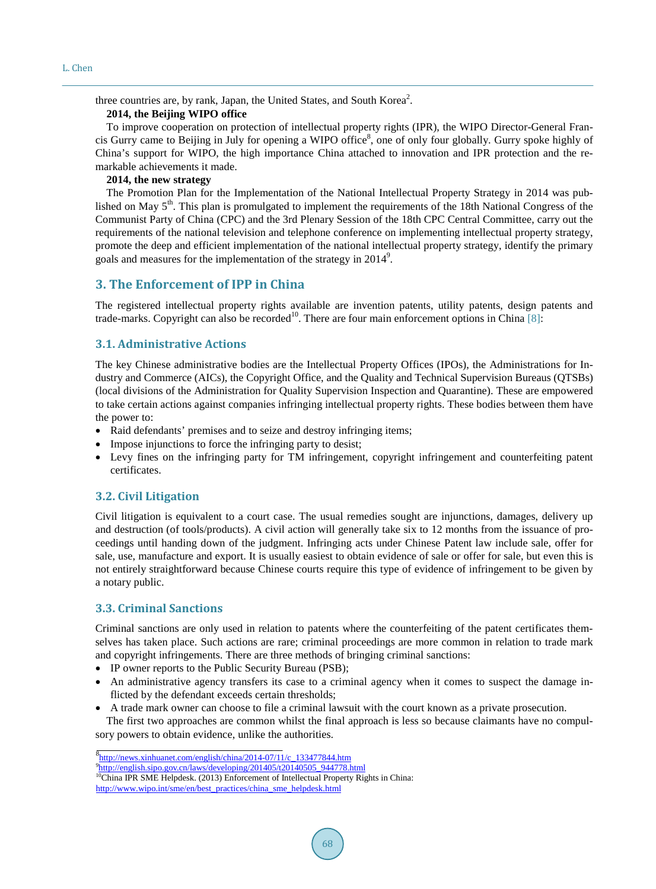three countries are, by rank, Japan, the United States, and South Korea<sup>2</sup>.

## **2014, the Beijing WIPO office**

To improve cooperation on protection of intellectual property rights (IPR), the WIPO Director-General Francis Gurry came to Beijing in July for opening a WIPO office<sup>8</sup>, one of only four globally. Gurry spoke highly of China's support for WIPO, the high importance China attached to innovation and IPR protection and the remarkable achievements it made.

## **2014, the new strategy**

The Promotion Plan for the Implementation of the National Intellectual Property Strategy in 2014 was published on May  $5<sup>th</sup>$ . This plan is promulgated to implement the requirements of the 18th National Congress of the Communist Party of China (CPC) and the 3rd Plenary Session of the 18th CPC Central Committee, carry out the requirements of the national television and telephone conference on implementing intellectual property strategy, promote the deep and efficient implementation of the national intellectual property strategy, identify the primary goals and measures for the implementation of the strategy in  $2014^9$ .

# **3. The Enforcement of IPP in China**

The registered intellectual property rights available are invention patents, utility patents, design patents and trade-marks. Copyright can also be recorded<sup>10</sup>. There are four main enforcement options in China [\[8\]:](#page-8-0)

## **3.1. Administrative Actions**

The key Chinese administrative bodies are the Intellectual Property Offices (IPOs), the Administrations for Industry and Commerce (AICs), the Copyright Office, and the Quality and Technical Supervision Bureaus (QTSBs) (local divisions of the Administration for Quality Supervision Inspection and Quarantine). These are empowered to take certain actions against companies infringing intellectual property rights. These bodies between them have the power to:

- Raid defendants' premises and to seize and destroy infringing items;
- Impose injunctions to force the infringing party to desist;
- Levy fines on the infringing party for TM infringement, copyright infringement and counterfeiting patent certificates.

# **3.2. Civil Litigation**

Civil litigation is equivalent to a court case. The usual remedies sought are injunctions, damages, delivery up and destruction (of tools/products). A civil action will generally take six to 12 months from the issuance of proceedings until handing down of the judgment. Infringing acts under Chinese Patent law include sale, offer for sale, use, manufacture and export. It is usually easiest to obtain evidence of sale or offer for sale, but even this is not entirely straightforward because Chinese courts require this type of evidence of infringement to be given by a notary public.

# **3.3. Criminal Sanctions**

Criminal sanctions are only used in relation to patents where the counterfeiting of the patent certificates themselves has taken place. Such actions are rare; criminal proceedings are more common in relation to trade mark and copyright infringements. There are three methods of bringing criminal sanctions:

- IP owner reports to the Public Security Bureau (PSB);
- An administrative agency transfers its case to a criminal agency when it comes to suspect the damage inflicted by the defendant exceeds certain thresholds;
- A trade mark owner can choose to file a criminal lawsuit with the court known as a private prosecution.

The first two approaches are common whilst the final approach is less so because claimants have no compulsory powers to obtain evidence, unlike the authorities.

[http://www.wipo.int/sme/en/best\\_practices/china\\_sme\\_helpdesk.html](http://www.wipo.int/sme/en/best_practices/china_sme_helpdesk.html)

<sup>8</sup> [http://news.xinhuanet.com/english/china/2014-07/11/c\\_133477844.htm](http://news.xinhuanet.com/english/china/2014-07/11/c_133477844.htm)

<sup>&</sup>lt;sup>9</sup>[http://english.sipo.gov.cn/laws/developing/201405/t20140505\\_944778.html](http://english.sipo.gov.cn/laws/developing/201405/t20140505_944778.html)

<sup>&</sup>lt;sup>10</sup>China IPR SME Helpdesk. (2013) Enforcement of Intellectual Property Rights in China: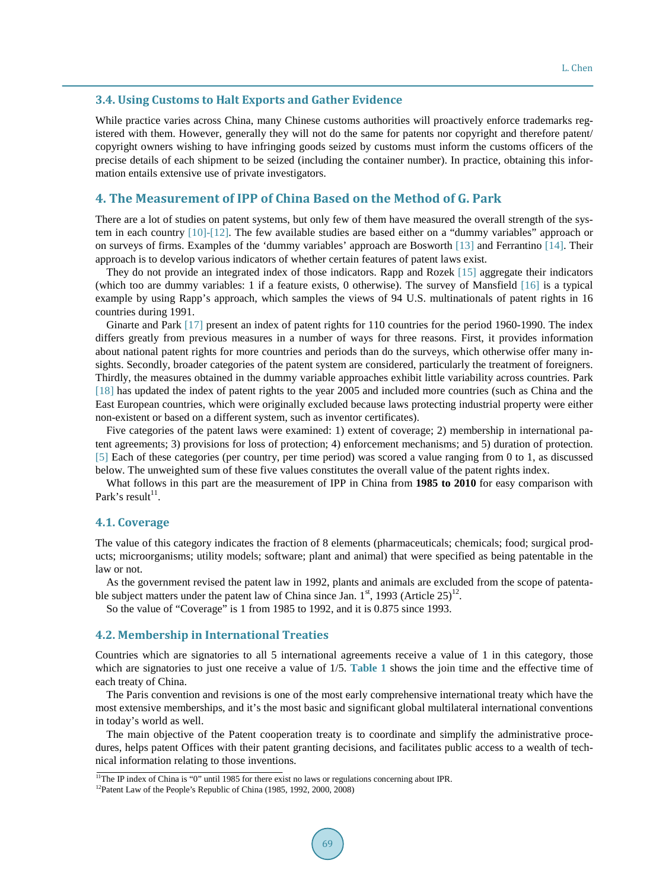## **3.4. Using Customs to Halt Exports and Gather Evidence**

While practice varies across China, many Chinese customs authorities will proactively enforce trademarks registered with them. However, generally they will not do the same for patents nor copyright and therefore patent/ copyright owners wishing to have infringing goods seized by customs must inform the customs officers of the precise details of each shipment to be seized (including the container number). In practice, obtaining this information entails extensive use of private investigators.

# **4. The Measurement of IPP of China Based on the Method of G. Park**

There are a lot of studies on patent systems, but only few of them have measured the overall strength of the system in each country [\[10\]-](#page-8-2)[\[12\].](#page-8-3) The few available studies are based either on a "dummy variables" approach or on surveys of firms. Examples of the 'dummy variables' approach are Bosworth [\[13\]](#page-8-4) and Ferrantino [\[14\].](#page-8-5) Their approach is to develop various indicators of whether certain features of patent laws exist.

They do not provide an integrated index of those indicators. Rapp and Rozek [\[15\]](#page-8-6) aggregate their indicators (which too are dummy variables: 1 if a feature exists, 0 otherwise). The survey of Mansfield [\[16\]](#page-8-7) is a typical example by using Rapp's approach, which samples the views of 94 U.S. multinationals of patent rights in 16 countries during 1991.

Ginarte and Park [\[17\]](#page-8-8) present an index of patent rights for 110 countries for the period 1960-1990. The index differs greatly from previous measures in a number of ways for three reasons. First, it provides information about national patent rights for more countries and periods than do the surveys, which otherwise offer many insights. Secondly, broader categories of the patent system are considered, particularly the treatment of foreigners. Thirdly, the measures obtained in the dummy variable approaches exhibit little variability across countries. Park [\[18\]](#page-8-9) has updated the index of patent rights to the year 2005 and included more countries (such as China and the East European countries, which were originally excluded because laws protecting industrial property were either non-existent or based on a different system, such as inventor certificates).

Five categories of the patent laws were examined: 1) extent of coverage; 2) membership in international patent agreements; 3) provisions for loss of protection; 4) enforcement mechanisms; and 5) duration of protection. [\[5\]](#page-7-2) Each of these categories (per country, per time period) was scored a value ranging from 0 to 1, as discussed below. The unweighted sum of these five values constitutes the overall value of the patent rights index.

What follows in this part are the measurement of IPP in China from **1985 to 2010** for easy comparison with Park's result<sup>11</sup>.

## **4.1. Coverage**

The value of this category indicates the fraction of 8 elements (pharmaceuticals; chemicals; food; surgical products; microorganisms; utility models; software; plant and animal) that were specified as being patentable in the law or not.

As the government revised the patent law in 1992, plants and animals are excluded from the scope of patentable subject matters under the patent law of China since Jan.  $1^{st}$ , 1993 (Article 25)<sup>12</sup>.

So the value of "Coverage" is 1 from 1985 to 1992, and it is 0.875 since 1993.

#### **4.2. Membership in International Treaties**

Countries which are signatories to all 5 international agreements receive a value of 1 in this category, those which are signatories to just one receive a value of 1/5. [Table 1](#page-5-0) shows the join time and the effective time of each treaty of China.

The Paris convention and revisions is one of the most early comprehensive international treaty which have the most extensive memberships, and it's the most basic and significant global multilateral international conventions in today's world as well.

The main objective of the Patent cooperation treaty is to coordinate and simplify the administrative procedures, helps patent Offices with their patent granting decisions, and facilitates public access to a wealth of technical information relating to those inventions.

<sup>&</sup>lt;sup>11</sup>The IP index of China is "0" until 1985 for there exist no laws or regulations concerning about IPR.

<sup>&</sup>lt;sup>12</sup>Patent Law of the People's Republic of China (1985, 1992, 2000, 2008)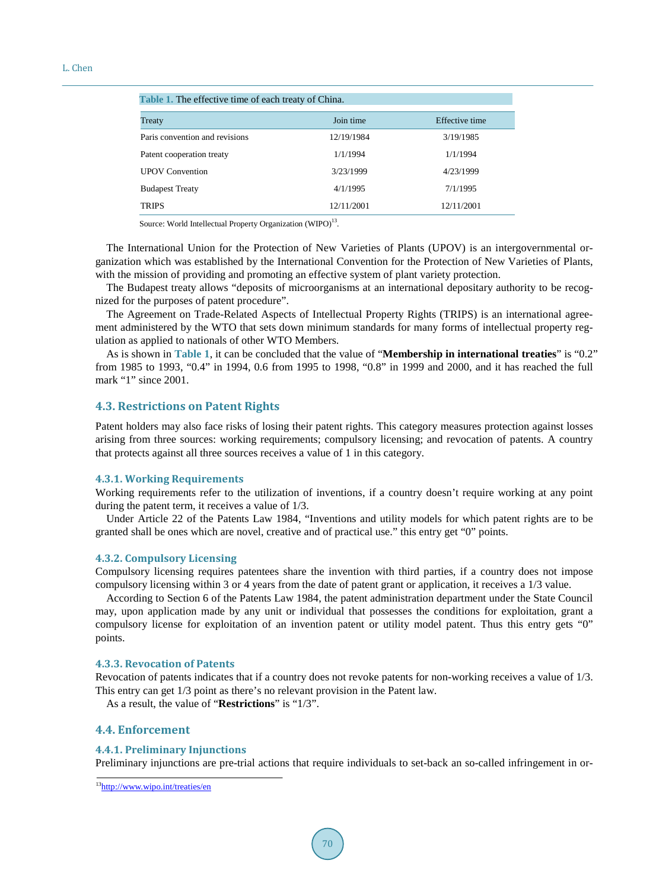<span id="page-5-0"></span>

| Table 1. The effective time of each treaty of China. |            |                |
|------------------------------------------------------|------------|----------------|
| Treaty                                               | Join time  | Effective time |
| Paris convention and revisions                       | 12/19/1984 | 3/19/1985      |
| Patent cooperation treaty                            | 1/1/1994   | 1/1/1994       |
| <b>UPOV</b> Convention                               | 3/23/1999  | 4/23/1999      |
| <b>Budapest Treaty</b>                               | 4/1/1995   | 7/1/1995       |
| <b>TRIPS</b>                                         | 12/11/2001 | 12/11/2001     |

Source: World Intellectual Property Organization (WIPO)<sup>13</sup>.

The International Union for the Protection of New Varieties of Plants (UPOV) is an intergovernmental organization which was established by the International Convention for the Protection of New Varieties of Plants, with the mission of providing and promoting an effective system of plant variety protection.

The Budapest treaty allows "deposits of microorganisms at an international depositary authority to be recognized for the purposes of patent procedure".

The Agreement on Trade-Related Aspects of Intellectual Property Rights (TRIPS) is an international agreement administered by the WTO that sets down minimum standards for many forms of intellectual property regulation as applied to nationals of other WTO Members.

As is shown in **[Table 1](#page-5-0)**, it can be concluded that the value of "**Membership in international treaties**" is "0.2" from 1985 to 1993, "0.4" in 1994, 0.6 from 1995 to 1998, "0.8" in 1999 and 2000, and it has reached the full mark "1" since 2001.

## **4.3. Restrictions on Patent Rights**

Patent holders may also face risks of losing their patent rights. This category measures protection against losses arising from three sources: working requirements; compulsory licensing; and revocation of patents. A country that protects against all three sources receives a value of 1 in this category.

### **4.3.1. Working Requirements**

Working requirements refer to the utilization of inventions, if a country doesn't require working at any point during the patent term, it receives a value of 1/3.

Under Article 22 of the Patents Law 1984, "Inventions and utility models for which patent rights are to be granted shall be ones which are novel, creative and of practical use." this entry get "0" points.

## **4.3.2. Compulsory Licensing**

Compulsory licensing requires patentees share the invention with third parties, if a country does not impose compulsory licensing within 3 or 4 years from the date of patent grant or application, it receives a 1/3 value.

According to Section 6 of the Patents Law 1984, the patent administration department under the State Council may, upon application made by any unit or individual that possesses the conditions for exploitation, grant a compulsory license for exploitation of an invention patent or utility model patent. Thus this entry gets "0" points.

## **4.3.3. Revocation of Patents**

Revocation of patents indicates that if a country does not revoke patents for non-working receives a value of 1/3. This entry can get 1/3 point as there's no relevant provision in the Patent law.

As a result, the value of "**Restrictions**" is "1/3".

## **4.4. Enforcement**

#### **4.4.1. Preliminary Injunctions**

Preliminary injunctions are pre-trial actions that require individuals to set-back an so-called infringement in or-

<sup>13</sup><http://www.wipo.int/treaties/en>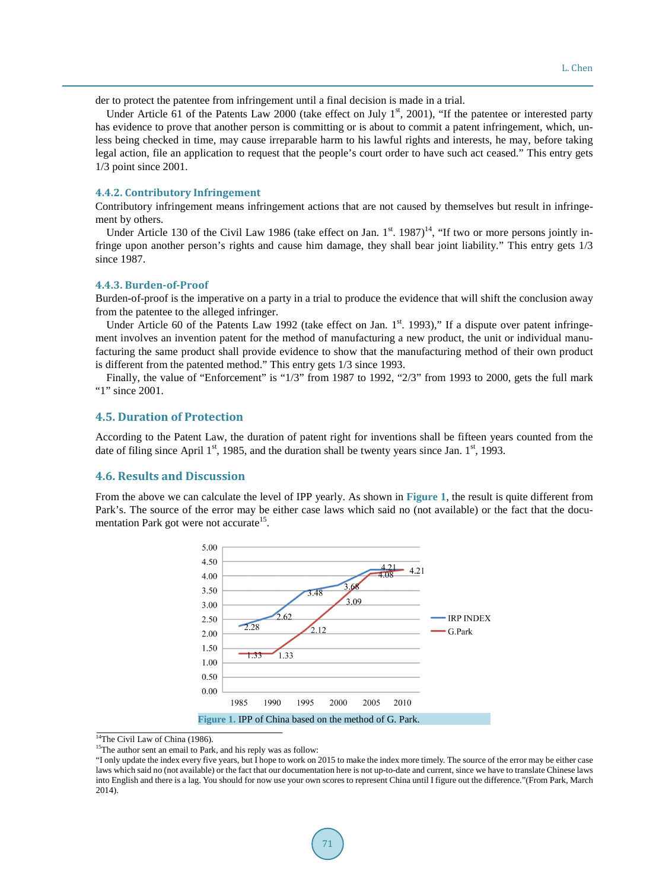der to protect the patentee from infringement until a final decision is made in a trial.

Under Article 61 of the Patents Law 2000 (take effect on July  $1<sup>st</sup>$ , 2001), "If the patentee or interested party has evidence to prove that another person is committing or is about to commit a patent infringement, which, unless being checked in time, may cause irreparable harm to his lawful rights and interests, he may, before taking legal action, file an application to request that the people's court order to have such act ceased." This entry gets 1/3 point since 2001.

## **4.4.2. Contributory Infringement**

Contributory infringement means infringement actions that are not caused by themselves but result in infringement by others.

Under Article 130 of the Civil Law 1986 (take effect on Jan.  $1^{st}$ . 1987)<sup>14</sup>, "If two or more persons jointly infringe upon another person's rights and cause him damage, they shall bear joint liability." This entry gets 1/3 since 1987.

#### **4.4.3. Burden-of-Proof**

Burden-of-proof is the imperative on a party in a trial to produce the evidence that will shift the conclusion away from the patentee to the alleged infringer.

Under Article 60 of the Patents Law 1992 (take effect on Jan.  $1<sup>st</sup>$ . 1993)," If a dispute over patent infringement involves an invention patent for the method of manufacturing a new product, the unit or individual manufacturing the same product shall provide evidence to show that the manufacturing method of their own product is different from the patented method." This entry gets 1/3 since 1993.

Finally, the value of "Enforcement" is "1/3" from 1987 to 1992, "2/3" from 1993 to 2000, gets the full mark "1" since 2001.

## **4.5. Duration of Protection**

According to the Patent Law, the duration of patent right for inventions shall be fifteen years counted from the date of filing since April  $1<sup>st</sup>$ , 1985, and the duration shall be twenty years since Jan.  $1<sup>st</sup>$ , 1993.

#### **4.6. Results and Discussion**

<span id="page-6-0"></span>From the above we can calculate the level of IPP yearly. As shown in **[Figure 1](#page-6-0)**, the result is quite different from Park's. The source of the error may be either case laws which said no (not available) or the fact that the documentation Park got were not accurate<sup>15</sup>.



<sup>&</sup>lt;sup>14</sup>The Civil Law of China (1986).

<sup>&</sup>lt;sup>15</sup>The author sent an email to Park, and his reply was as follow:

<sup>&</sup>quot;I only update the index every five years, but I hope to work on 2015 to make the index more timely. The source of the error may be either case laws which said no (not available) or the fact that our documentation here is not up-to-date and current, since we have to translate Chinese laws into English and there is a lag. You should for now use your own scores to represent China until I figure out the difference."(From Park, March 2014).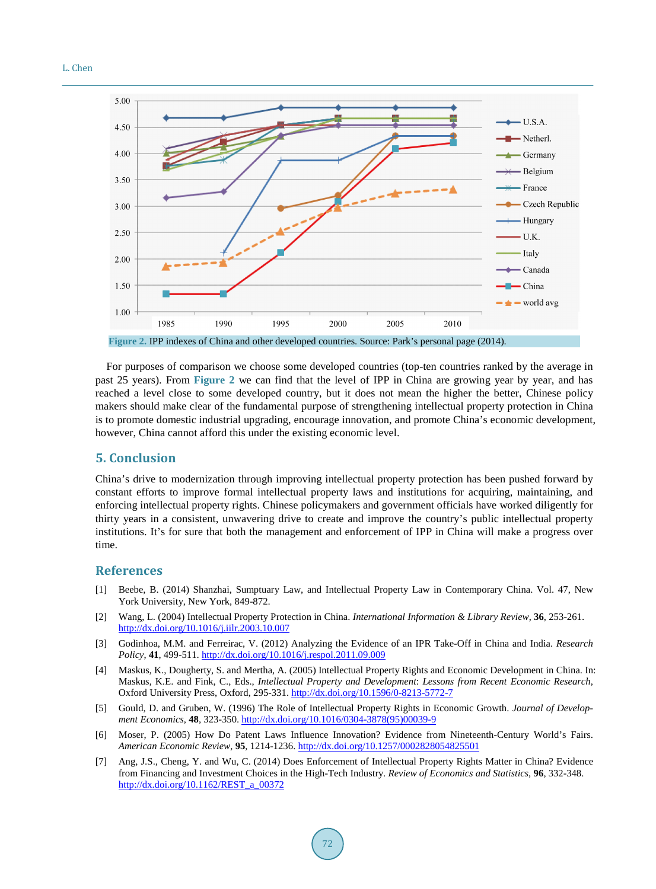#### <span id="page-7-6"></span>L. Chen



**Figure 2.** IPP indexes of China and other developed countries. Source: Park's personal page (2014).

For purposes of comparison we choose some developed countries (top-ten countries ranked by the average in past 25 years). From **[Figure 2](#page-7-6)** we can find that the level of IPP in China are growing year by year, and has reached a level close to some developed country, but it does not mean the higher the better, Chinese policy makers should make clear of the fundamental purpose of strengthening intellectual property protection in China is to promote domestic industrial upgrading, encourage innovation, and promote China's economic development, however, China cannot afford this under the existing economic level.

# **5. Conclusion**

China's drive to modernization through improving intellectual property protection has been pushed forward by constant efforts to improve formal intellectual property laws and institutions for acquiring, maintaining, and enforcing intellectual property rights. Chinese policymakers and government officials have worked diligently for thirty years in a consistent, unwavering drive to create and improve the country's public intellectual property institutions. It's for sure that both the management and enforcement of IPP in China will make a progress over time.

## **References**

- <span id="page-7-0"></span>[1] Beebe, B. (2014) Shanzhai, Sumptuary Law, and Intellectual Property Law in Contemporary China. Vol. 47, New York University, New York, 849-872.
- <span id="page-7-5"></span>[2] Wang, L. (2004) Intellectual Property Protection in China. *International Information & Library Review*, **36**, 253-261. <http://dx.doi.org/10.1016/j.iilr.2003.10.007>
- [3] Godinhoa, M.M. and Ferreirac, V. (2012) Analyzing the Evidence of an IPR Take-Off in China and India. *Research Policy*, **41**, 499-511. <http://dx.doi.org/10.1016/j.respol.2011.09.009>
- <span id="page-7-1"></span>[4] Maskus, K., Dougherty, S. and Mertha, A. (2005) Intellectual Property Rights and Economic Development in China. In: Maskus, K.E. and Fink, C., Eds., *Intellectual Property and Development*: *Lessons from Recent Economic Research*, Oxford University Press, Oxford, 295-331. <http://dx.doi.org/10.1596/0-8213-5772-7>
- <span id="page-7-2"></span>[5] Gould, D. and Gruben, W. (1996) The Role of Intellectual Property Rights in Economic Growth. *Journal of Development Economics*, **48**, 323-350. [http://dx.doi.org/10.1016/0304-3878\(95\)00039-9](http://dx.doi.org/10.1016/0304-3878(95)00039-9)
- <span id="page-7-3"></span>[6] Moser, P. (2005) How Do Patent Laws Influence Innovation? Evidence from Nineteenth-Century World's Fairs. *American Economic Review*, **95**, 1214-1236. <http://dx.doi.org/10.1257/0002828054825501>
- <span id="page-7-4"></span>[7] Ang, J.S., Cheng, Y. and Wu, C. (2014) Does Enforcement of Intellectual Property Rights Matter in China? Evidence from Financing and Investment Choices in the High-Tech Industry. *Review of Economics and Statistics*, **96**, 332-348. [http://dx.doi.org/10.1162/REST\\_a\\_00372](http://dx.doi.org/10.1162/REST_a_00372)